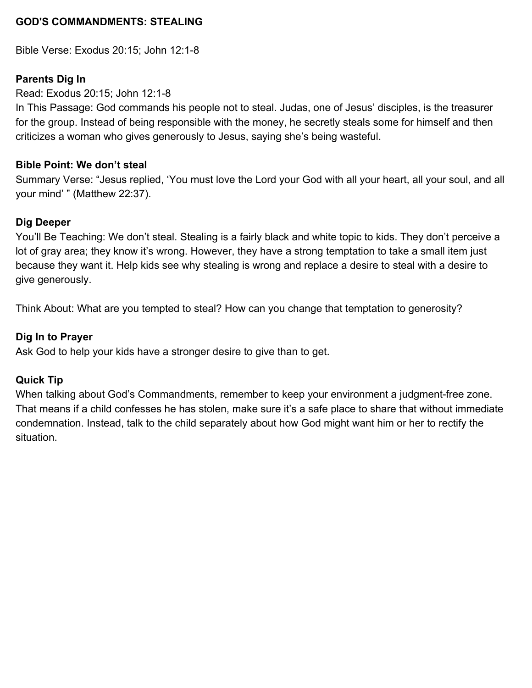### **GOD'S COMMANDMENTS: STEALING**

Bible Verse: Exodus 20:15; John 12:1-8

### **Parents Dig In**

Read: Exodus 20:15; John 12:1-8

In This Passage: God commands his people not to steal. Judas, one of Jesus' disciples, is the treasurer for the group. Instead of being responsible with the money, he secretly steals some for himself and then criticizes a woman who gives generously to Jesus, saying she's being wasteful.

### **Bible Point: We don't steal**

Summary Verse: "Jesus replied, 'You must love the Lord your God with all your heart, all your soul, and all your mind' " (Matthew 22:37).

### **Dig Deeper**

You'll Be Teaching: We don't steal. Stealing is a fairly black and white topic to kids. They don't perceive a lot of gray area; they know it's wrong. However, they have a strong temptation to take a small item just because they want it. Help kids see why stealing is wrong and replace a desire to steal with a desire to give generously.

Think About: What are you tempted to steal? How can you change that temptation to generosity?

### **Dig In to Prayer**

Ask God to help your kids have a stronger desire to give than to get.

### **Quick Tip**

When talking about God's Commandments, remember to keep your environment a judgment-free zone. That means if a child confesses he has stolen, make sure it's a safe place to share that without immediate condemnation. Instead, talk to the child separately about how God might want him or her to rectify the situation.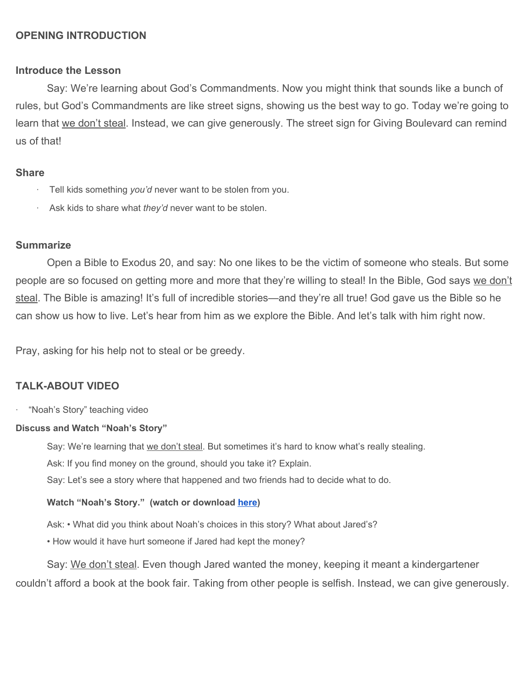### **OPENING INTRODUCTION**

#### **Introduce the Lesson**

Say: We're learning about God's Commandments. Now you might think that sounds like a bunch of rules, but God's Commandments are like street signs, showing us the best way to go. Today we're going to learn that we don't steal. Instead, we can give generously. The street sign for Giving Boulevard can remind us of that!

#### **Share**

- Tell kids something *you'd* never want to be stolen from you.
- Ask kids to share what *they'd* never want to be stolen.

### **Summarize**

Open a Bible to Exodus 20, and say: No one likes to be the victim of someone who steals. But some people are so focused on getting more and more that they're willing to steal! In the Bible, God says we don't steal. The Bible is amazing! It's full of incredible stories—and they're all true! God gave us the Bible so he can show us how to live. Let's hear from him as we explore the Bible. And let's talk with him right now.

Pray, asking for his help not to steal or be greedy.

#### **TALK-ABOUT VIDEO**

· "Noah's Story" teaching video

#### **Discuss and Watch "Noah's Story"**

Say: We're learning that we don't steal. But sometimes it's hard to know what's really stealing.

Ask: If you find money on the ground, should you take it? Explain.

Say: Let's see a story where that happened and two friends had to decide what to do.

#### **Watch "Noah's Story." (watch or download [here](https://vimeo.com/showcase/6097677/video/345118632))**

Ask: • What did you think about Noah's choices in this story? What about Jared's?

• How would it have hurt someone if Jared had kept the money?

Say: We don't steal. Even though Jared wanted the money, keeping it meant a kindergartener couldn't afford a book at the book fair. Taking from other people is selfish. Instead, we can give generously.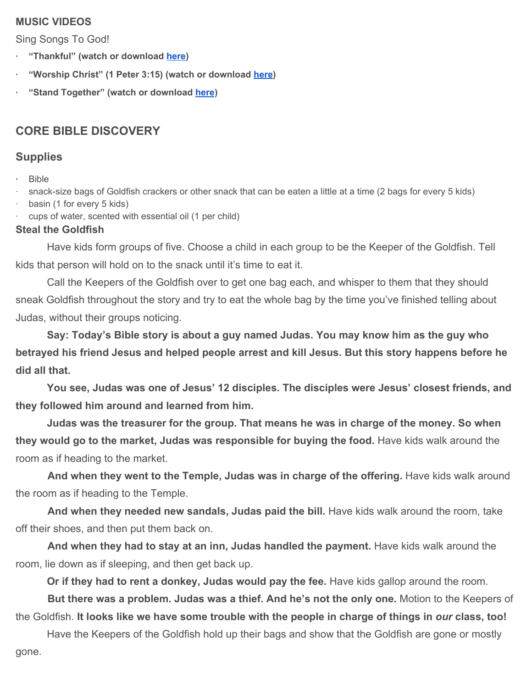### **MUSIC VIDEOS**

Sing Songs To God!

- **· "Thankful" (watch or download [here\)](https://vimeo.com/showcase/6097677/video/345114550)**
- **· "Worship Christ" (1 Peter 3:15) (watch or download [here](https://vimeo.com/showcase/6097677/video/345114645))**
- **· "Stand Together" (watch or download [here](https://vimeo.com/showcase/6097677/video/345114189))**

# **CORE BIBLE DISCOVERY**

## **Supplies**

**·** Bible

· snack-size bags of Goldfish crackers or other snack that can be eaten a little at a time (2 bags for every 5 kids)

- basin (1 for every 5 kids)
- cups of water, scented with essential oil (1 per child)

### **Steal the Goldfish**

Have kids form groups of five. Choose a child in each group to be the Keeper of the Goldfish. Tell kids that person will hold on to the snack until it's time to eat it.

Call the Keepers of the Goldfish over to get one bag each, and whisper to them that they should sneak Goldfish throughout the story and try to eat the whole bag by the time you've finished telling about Judas, without their groups noticing.

**Say: Today's Bible story is about a guy named Judas. You may know him as the guy who betrayed his friend Jesus and helped people arrest and kill Jesus. But this story happens before he did all that.**

**You see, Judas was one of Jesus' 12 disciples. The disciples were Jesus' closest friends, and they followed him around and learned from him.**

**Judas was the treasurer for the group. That means he was in charge of the money. So when they would go to the market, Judas was responsible for buying the food.** Have kids walk around the room as if heading to the market.

And when they went to the Temple, Judas was in charge of the offering. Have kids walk around the room as if heading to the Temple.

 **And when they needed new sandals, Judas paid the bill.** Have kids walk around the room, take off their shoes, and then put them back on.

 **And when they had to stay at an inn, Judas handled the payment.** Have kids walk around the room, lie down as if sleeping, and then get back up.

**Or if they had to rent a donkey, Judas would pay the fee.** Have kids gallop around the room.

 **But there was a problem. Judas was a thief. And he's not the only one.** Motion to the Keepers of the Goldfish. **It looks like we have some trouble with the people in charge of things in** *our* **class, too!**

Have the Keepers of the Goldfish hold up their bags and show that the Goldfish are gone or mostly gone.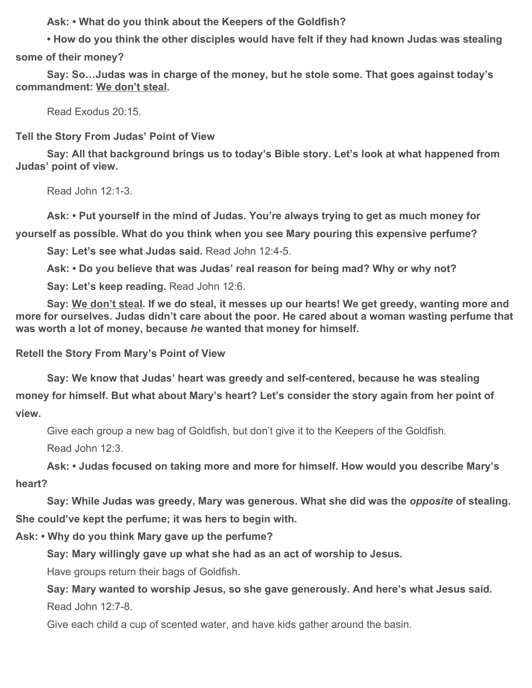**Ask: • What do you think about the Keepers of the Goldfish?**

**• How do you think the other disciples would have felt if they had known Judas was stealing some of their money?**

**Say: So…Judas was in charge of the money, but he stole some. That goes against today's commandment: We don't steal.**

Read Exodus 20:15.

**Tell the Story From Judas' Point of View**

**Say: All that background brings us to today's Bible story. Let's look at what happened from Judas' point of view.**

Read John 12:1-3.

**Ask: • Put yourself in the mind of Judas. You're always trying to get as much money for yourself as possible. What do you think when you see Mary pouring this expensive perfume?**

**Say: Let's see what Judas said.** Read John 12:4-5.

**Ask: • Do you believe that was Judas' real reason for being mad? Why or why not?**

**Say: Let's keep reading. Read John 12:6.** 

**Say: We don't steal. If we do steal, it messes up our hearts! We get greedy, wanting more and more for ourselves. Judas didn't care about the poor. He cared about a woman wasting perfume that was worth a lot of money, because** *he* **wanted that money for himself.**

**Retell the Story From Mary's Point of View**

**Say: We know that Judas' heart was greedy and self-centered, because he was stealing money for himself. But what about Mary's heart? Let's consider the story again from her point of view.**

Give each group a new bag of Goldfish, but don't give it to the Keepers of the Goldfish.

Read John 12:3.

**Ask: • Judas focused on taking more and more for himself. How would you describe Mary's heart?**

**Say: While Judas was greedy, Mary was generous. What she did was the** *opposite* **of stealing. She could've kept the perfume; it was hers to begin with.**

**Ask: • Why do you think Mary gave up the perfume?**

**Say: Mary willingly gave up what she had as an act of worship to Jesus.**

Have groups return their bags of Goldfish.

**Say: Mary wanted to worship Jesus, so she gave generously. And here's what Jesus said.** Read John 12:7-8.

Give each child a cup of scented water, and have kids gather around the basin.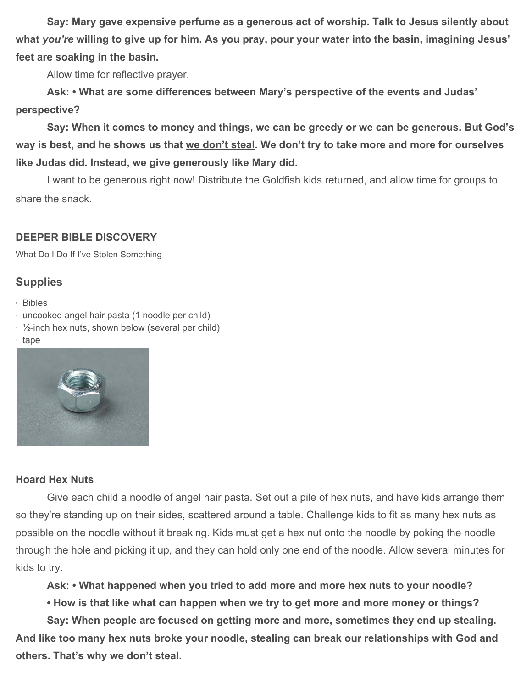**Say: Mary gave expensive perfume as a generous act of worship. Talk to Jesus silently about what** *you're* **willing to give up for him. As you pray, pour your water into the basin, imagining Jesus' feet are soaking in the basin.**

Allow time for reflective prayer.

**Ask: • What are some differences between Mary's perspective of the events and Judas' perspective?**

**Say: When it comes to money and things, we can be greedy or we can be generous. But God's way is best, and he shows us that we don't steal. We don't try to take more and more for ourselves like Judas did. Instead, we give generously like Mary did.**

I want to be generous right now! Distribute the Goldfish kids returned, and allow time for groups to share the snack.

# **DEEPER BIBLE DISCOVERY**

What Do I Do If I've Stolen Something

# **Supplies**

- **·** Bibles
- · uncooked angel hair pasta (1 noodle per child)
- $\cdot$  1/<sub>2</sub>-inch hex nuts, shown below (several per child)
- · tape



### **Hoard Hex Nuts**

Give each child a noodle of angel hair pasta. Set out a pile of hex nuts, and have kids arrange them so they're standing up on their sides, scattered around a table. Challenge kids to fit as many hex nuts as possible on the noodle without it breaking. Kids must get a hex nut onto the noodle by poking the noodle through the hole and picking it up, and they can hold only one end of the noodle. Allow several minutes for kids to try.

**Ask: • What happened when you tried to add more and more hex nuts to your noodle?**

**• How is that like what can happen when we try to get more and more money or things?**

**Say: When people are focused on getting more and more, sometimes they end up stealing. And like too many hex nuts broke your noodle, stealing can break our relationships with God and others. That's why we don't steal.**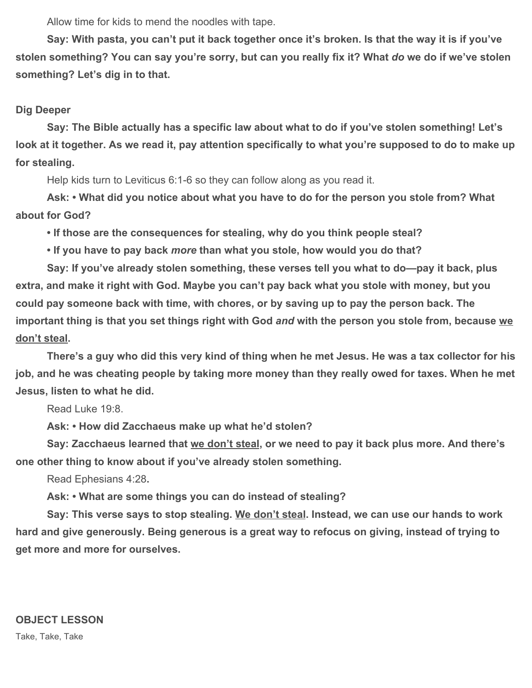Allow time for kids to mend the noodles with tape.

**Say: With pasta, you can't put it back together once it's broken. Is that the way it is if you've stolen something? You can say you're sorry, but can you really fix it? What** *do* **we do if we've stolen something? Let's dig in to that.**

### **Dig Deeper**

**Say: The Bible actually has a specific law about what to do if you've stolen something! Let's look at it together. As we read it, pay attention specifically to what you're supposed to do to make up for stealing.**

Help kids turn to Leviticus 6:1-6 so they can follow along as you read it.

**Ask: • What did you notice about what you have to do for the person you stole from? What about for God?**

**• If those are the consequences for stealing, why do you think people steal?**

**• If you have to pay back** *more* **than what you stole, how would you do that?**

**Say: If you've already stolen something, these verses tell you what to do—pay it back, plus extra, and make it right with God. Maybe you can't pay back what you stole with money, but you could pay someone back with time, with chores, or by saving up to pay the person back. The important thing is that you set things right with God** *and* **with the person you stole from, because we don't steal.**

**There's a guy who did this very kind of thing when he met Jesus. He was a tax collector for his job, and he was cheating people by taking more money than they really owed for taxes. When he met Jesus, listen to what he did.**

Read Luke 19:8.

**Ask: • How did Zacchaeus make up what he'd stolen?**

**Say: Zacchaeus learned that we don't steal, or we need to pay it back plus more. And there's one other thing to know about if you've already stolen something.**

Read Ephesians 4:28**.**

**Ask: • What are some things you can do instead of stealing?**

**Say: This verse says to stop stealing. We don't steal. Instead, we can use our hands to work hard and give generously. Being generous is a great way to refocus on giving, instead of trying to get more and more for ourselves.**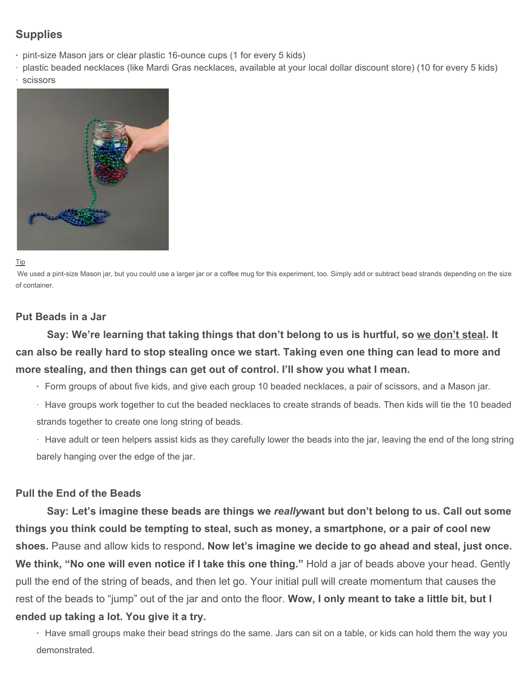# **Supplies**

- **·** pint-size Mason jars or clear plastic 16-ounce cups (1 for every 5 kids)
- · plastic beaded necklaces (like Mardi Gras necklaces, available at your local dollar discount store) (10 for every 5 kids)
- **scissors**



Tip

We used a pint-size Mason jar, but you could use a larger jar or a coffee mug for this experiment, too. Simply add or subtract bead strands depending on the size of container.

### **Put Beads in a Jar**

**Say: We're learning that taking things that don't belong to us is hurtful, so we don't steal. It can also be really hard to stop stealing once we start. Taking even one thing can lead to more and more stealing, and then things can get out of control. I'll show you what I mean.**

- **·** Form groups of about five kids, and give each group 10 beaded necklaces, a pair of scissors, and a Mason jar.
- · Have groups work together to cut the beaded necklaces to create strands of beads. Then kids will tie the 10 beaded strands together to create one long string of beads.

· Have adult or teen helpers assist kids as they carefully lower the beads into the jar, leaving the end of the long string barely hanging over the edge of the jar.

#### **Pull the End of the Beads**

**Say: Let's imagine these beads are things we** *really***want but don't belong to us. Call out some things you think could be tempting to steal, such as money, a smartphone, or a pair of cool new shoes.** Pause and allow kids to respond**. Now let's imagine we decide to go ahead and steal, just once. We think, "No one will even notice if I take this one thing."** Hold a jar of beads above your head. Gently pull the end of the string of beads, and then let go. Your initial pull will create momentum that causes the rest of the beads to "jump" out of the jar and onto the floor. **Wow, I only meant to take a little bit, but I ended up taking a lot. You give it a try.**

**·** Have small groups make their bead strings do the same. Jars can sit on a table, or kids can hold them the way you demonstrated.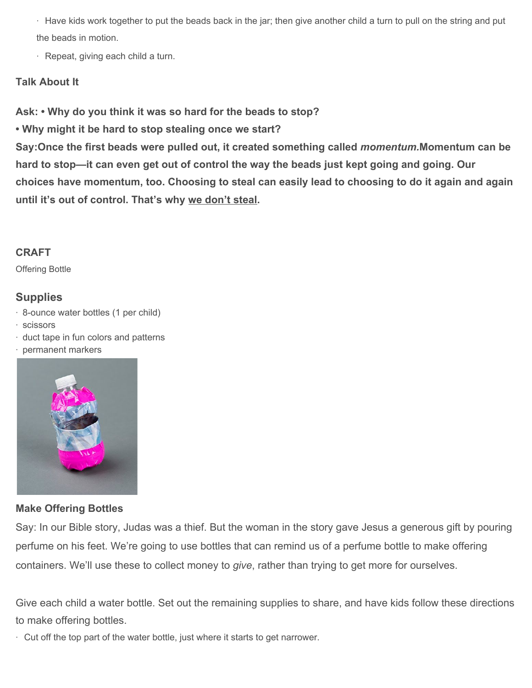· Have kids work together to put the beads back in the jar; then give another child a turn to pull on the string and put the beads in motion.

· Repeat, giving each child a turn.

### **Talk About It**

**Ask: • Why do you think it was so hard for the beads to stop?**

**• Why might it be hard to stop stealing once we start?**

**Say:Once the first beads were pulled out, it created something called** *momentum.***Momentum can be hard to stop—it can even get out of control the way the beads just kept going and going. Our choices have momentum, too. Choosing to steal can easily lead to choosing to do it again and again until it's out of control. That's why we don't steal.**

## **CRAFT**

Offering Bottle

# **Supplies**

- · 8-ounce water bottles (1 per child)
- · scissors
- · duct tape in fun colors and patterns
- · permanent markers



### **Make Offering Bottles**

Say: In our Bible story, Judas was a thief. But the woman in the story gave Jesus a generous gift by pouring perfume on his feet. We're going to use bottles that can remind us of a perfume bottle to make offering containers. We'll use these to collect money to *give*, rather than trying to get more for ourselves.

Give each child a water bottle. Set out the remaining supplies to share, and have kids follow these directions to make offering bottles.

· Cut off the top part of the water bottle, just where it starts to get narrower.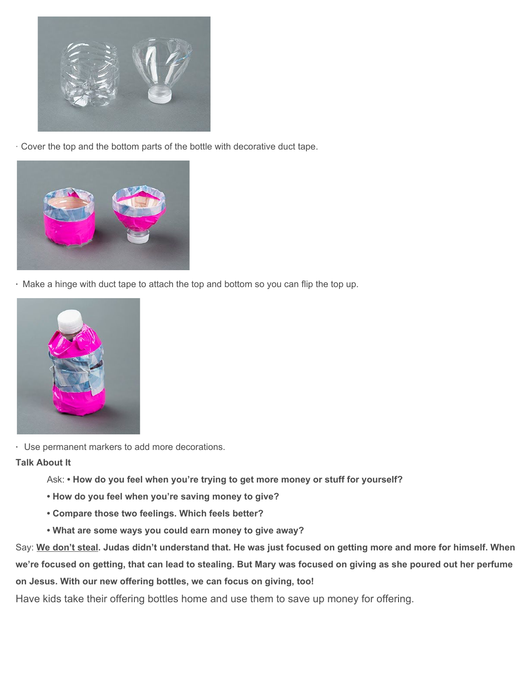

· Cover the top and the bottom parts of the bottle with decorative duct tape.



**·** Make a hinge with duct tape to attach the top and bottom so you can flip the top up.



**·** Use permanent markers to add more decorations.

**Talk About It**

- Ask:  **How do you feel when you're trying to get more money or stuff for yourself?**
- **How do you feel when you're saving money to give?**
- **Compare those two feelings. Which feels better?**
- **What are some ways you could earn money to give away?**

Say: **We don't steal. Judas didn't understand that. He was just focused on getting more and more for himself. When we're focused on getting, that can lead to stealing. But Mary was focused on giving as she poured out her perfume on Jesus. With our new offering bottles, we can focus on giving, too!**

Have kids take their offering bottles home and use them to save up money for offering.